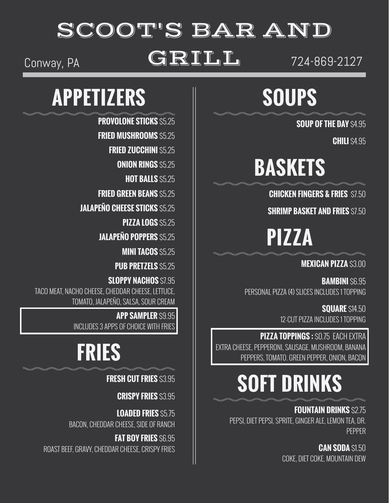#### SCOOT'S BAR AND

#### Conway, PA  $\text{GRILL}$   $\text{I}$   $\text{I}$   $\text{I}$   $\text{I}$   $\text{I}$   $\text{I}$   $\text{I}$   $\text{I}$   $\text{I}$   $\text{I}$   $\text{I}$   $\text{I}$   $\text{I}$   $\text{I}$   $\text{I}$   $\text{I}$   $\text{I}$   $\text{I}$   $\text{I}$   $\text{I}$   $\text{I}$   $\text{I}$   $\text{I}$   $\text{I}$   $\text{I}$

### **SOUPS**

**SOUP OF THE DAY** \$4.95

**CHILI** \$4.95

### **BASKETS**

**CHICKEN FINGERS & FRIES** \$7.50

**SHRIMP BASKET AND FRIES** \$7.50

**PIZZA**

#### **MEXICAN PIZZA** \$3.00

**BAMBINI** \$6.95 PERSONAL PIZZA (4) SLICES INCLUDES 1 TOPPING

> **SOUARE** \$14,50 12-CUT PIZZA INCLUDES 1 TOPPING

**PIZZA TOPPINGS :** \$0.75 EACH EXTRA EXTRA CHEESE, PEPPERONI, SAUSAGE, MUSHROOM, BANANA PEPPERS, TOMATO. GREEN PEPPER, ONION, BACON

### **SOFT DRINKS**

**FOUNTAIN DRINKS** \$2.75 PEPSI, DIET PEPSI, SPRITE, GINGER ALE, LEMON TEA, DR. PEPPER

> **CAN SODA** \$1.50 COKE, DIET COKE, MOUNTAIN DEW

#### **APPETIZERS**

**PROVOLONE STICKS** \$5.25

**FRIED MUSHROOMS** \$5.25

**FRIED ZUCCHINI \$5.25** 

**ONION RINGS \$5.25** 

**HOT BALLS** \$5.25

**FRIED GREEN BEANS** \$5.25

**JALAPEÑO CHEESE STICKS** \$5.25

**PIZZA LOGS** \$5.25

**JALAPEÑO POPPERS** \$5.25

**MINI TACOS** \$5.25

**PUB PRETZELS** \$5.25

**SLOPPY NACHOS** \$7.95 TACO MEAT, NACHO CHEESE, CHEDDAR CHEESE, LETTUCE, TOMATO, JALAPEÑO, SALSA, SOUR CREAM

> **APP SAMPLER** \$9.95 INCLUDES 3 APPS OF CHOICE WITH FRIES

### **FRIES**

**FRESH CUT FRIES** \$3.95

**CRISPY FRIES** \$3.95

**LOADED FRIES** \$5.75 BACON, CHEDDAR CHEESE, SIDE OF RANCH

**FAT BOY FRIES** \$6.95 ROAST BEEF, GRAVY, CHEDDAR CHEESE, CRISPY FRIES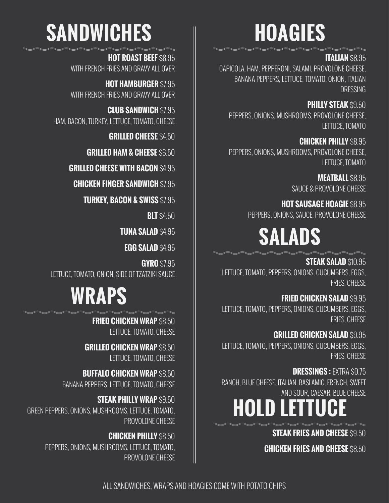### **HOAGIES**

#### **ITALIAN** \$8.95

CAPICOLA, HAM, PEPPERONI, SALAMI, PROVOLONE CHEESE, BANANA PEPPERS, LETTUCE, TOMATO, ONION, ITALIAN **DRESSING** 

**PHILLY STEAK** \$9.50 PEPPERS, ONIONS, MUSHROOMS, PROVOLONE CHEESE, LETTUCE, TOMATO

**CHICKEN PHILLY** \$8.95 PEPPERS, ONIONS, MUSHROOMS, PROVOLONE CHEESE, LETTUCE, TOMATO

> **MEATBALL** \$8.95 SAUCE & PROVOLONE CHEESE

**HOT SAUSAGE HOAGIE \$8.95** PEPPERS, ONIONS, SAUCE, PROVOLONE CHEESE

### **SALADS**

**STEAK SALAD** \$10.95 LETTUCE, TOMATO, PEPPERS, ONIONS, CUCUMBERS, EGGS, FRIES, CHEESE

**FRIED CHICKEN SALAD** \$9.95 LETTUCE, TOMATO, PEPPERS, ONIONS, CUCUMBERS, EGGS, FRIES, CHEESE

**GRILLED CHICKEN SALAD** \$9.95 LETTUCE, TOMATO, PEPPERS, ONIONS, CUCUMBERS, EGGS, FRIES, CHEESE

**DRESSINGS : FXTRA \$0.75** RANCH, BLUE CHEESE, ITALIAN, BASLAMIC, FRENCH, SWEET AND SOUR, CAESAR, BLUE CHEESE

### **HOLD LETTUCE**

**STEAK FRIES AND CHEESE** \$9.50

**CHICKEN FRIES AND CHEESE** \$8.50

### **SANDWICHES**

**HOT ROAST BEEF \$8.95** WITH FRENCH FRIES AND GRAVY ALL OVER

**HOT HAMBURGER** \$7.95 WITH FRENCH FRIES AND GRAVY ALL OVER

**CLUB SANDWICH \$7.95** HAM, BACON, TURKEY, LETTUCE, TOMATO, CHEESE

**GRILLED CHEESE** \$4.50

**GRILLED HAM & CHEESE** \$6.50

**GRILLED CHEESE WITH BACON** \$4,95

**CHICKEN FINGER SANDWICH \$7.95** 

**TURKEY, BACON & SWISS \$7.95** 

**BLT** \$4.50

**TUNA SALAD** \$4.95

**EGG SALAD** \$4.95

**GYRO** \$7.95 LETTUCE, TOMATO, ONION, SIDE OF TZATZIKI SAUCE

### **WRAPS**

**FRIED CHICKEN WRAP** \$8.50 LETTUCE, TOMATO, CHEESE

**GRILLED CHICKEN WRAP** \$8.50 LETTUCE, TOMATO, CHEESE

**BUFFALO CHICKEN WRAP** \$8.50 BANANA PEPPERS, LETTUCE, TOMATO, CHEESE

**STEAK PHILLY WRAP** \$9.50 GREEN PEPPERS, ONIONS, MUSHROOMS, LETTUCE, TOMATO, PROVOLONE CHEESE

> **CHICKEN PHILLY** \$8.50 PEPPERS, ONIONS, MUSHROOMS, LETTUCE, TOMATO, PROVOLONE CHEESE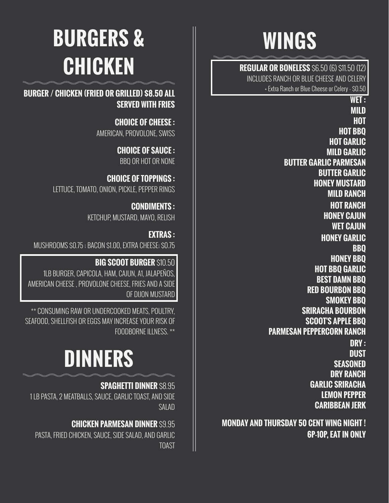### **WINGS**

**REGULAR OR BONELESS** \$6.50 (6) \$11.50 (12) INCLUDES RANCH OR BLUE CHEESE AND CELERY + Extra Ranch or Blue Cheese or Celery - \$0.50

> **WET : MILD HOT HOT BBQ HOT GARLIC MILD GARLIC BUTTER GARLIC PARMESAN BUTTER GARLIC HONEY MUSTARD MILD RANCH HOT RANCH HONEY CAJUN WET CAJUN HONEY GARLIC BBQ HONEY BBQ HOT BBQ GARLIC BEST DAMN BBQ RED BOURBON BBQ SMOKEY BBQ SRIRACHA BOURBON SCOOT'S APPLE BBQ PARMESAN PEPPERCORN RANCH DRY : DUST SEASONED DRY RANCH GARLIC SRIRACHA LEMON PEPPER CARIBBEAN JERK**

**MONDAY AND THURSDAY 50 CENT WING NIGHT ! 6P-10P, EAT IN ONLY**

## **BURGERS & CHICKEN**

**BURGER / CHICKEN (FRIED OR GRILLED) \$8.50 ALL SERVED WITH FRIES**

> **CHOICE OF CHEESE :** AMERICAN, PROVOLONE, SWISS

> > **CHOICE OF SAUCE :** BBQ OR HOT OR NONE

**CHOICE OF TOPPINGS :** LETTUCE, TOMATO, ONION, PICKLE, PEPPER RINGS

> **CONDIMENTS :** KETCHUP, MUSTARD, MAYO, RELISH

**EXTRAS :** MUSHROOMS \$0.75 ; BACON \$1.00, EXTRA CHEESE; \$0.75

**BIG SCOOT BURGER** \$10.50 1LB BURGER, CAPICOLA, HAM, CAJUN, A1, JALAPEÑOS, AMERICAN CHEESE , PROVOLONE CHEESE, FRIES AND A SIDE OF DIJON MUSTARD

\*\* CONSUMING RAW OR UNDERCOOKED MEATS, POULTRY, SEAFOOD, SHELLFISH OR EGGS MAY INCREASE YOUR RISK OF FOODBORNE ILLNESS. \*\*

### **DINNERS**

#### **SPAGHETTI DINNER \$8.95**

1 LB PASTA, 2 MEATBALLS, SAUCE, GARLIC TOAST, AND SIDE SALAD

#### **CHICKEN PARMESAN DINNER \$9.95**

PASTA, FRIED CHICKEN, SAUCE, SIDE SALAD, AND GARLIC TOAST